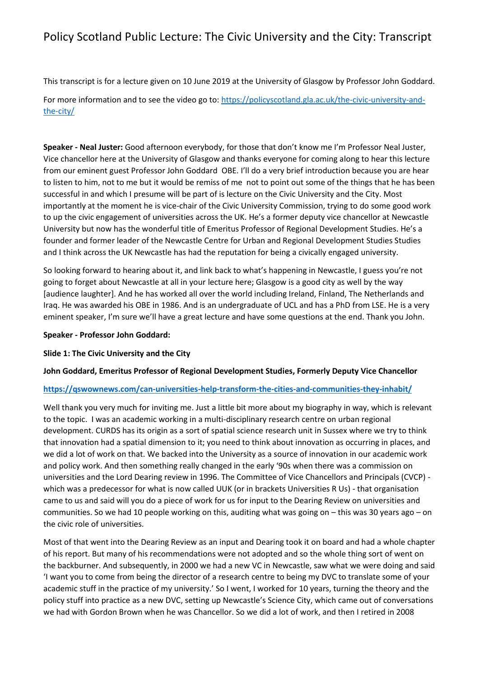This transcript is for a lecture given on 10 June 2019 at the University of Glasgow by Professor John Goddard. For more information and to see the video go to: [https://policyscotland.gla.ac.uk/the-civic-university-and-](https://policyscotland.gla.ac.uk/the-civic-university-and-the-city/)

[the-city/](https://policyscotland.gla.ac.uk/the-civic-university-and-the-city/)

**Speaker - Neal Juster:** Good afternoon everybody, for those that don't know me I'm Professor Neal Juster, Vice chancellor here at the University of Glasgow and thanks everyone for coming along to hear this lecture from our eminent guest Professor John Goddard OBE. I'll do a very brief introduction because you are hear to listen to him, not to me but it would be remiss of me not to point out some of the things that he has been successful in and which I presume will be part of is lecture on the Civic University and the City. Most importantly at the moment he is vice-chair of the Civic University Commission, trying to do some good work to up the civic engagement of universities across the UK. He's a former deputy vice chancellor at Newcastle University but now has the wonderful title of Emeritus Professor of Regional Development Studies. He's a founder and former leader of the Newcastle Centre for Urban and Regional Development Studies Studies and I think across the UK Newcastle has had the reputation for being a civically engaged university.

So looking forward to hearing about it, and link back to what's happening in Newcastle, I guess you're not going to forget about Newcastle at all in your lecture here; Glasgow is a good city as well by the way [audience laughter]. And he has worked all over the world including Ireland, Finland, The Netherlands and Iraq. He was awarded his OBE in 1986. And is an undergraduate of UCL and has a PhD from LSE. He is a very eminent speaker, I'm sure we'll have a great lecture and have some questions at the end. Thank you John.

#### **Speaker - Professor John Goddard:**

### **Slide 1: The Civic University and the City**

### **John Goddard, Emeritus Professor of Regional Development Studies, Formerly Deputy Vice Chancellor**

### **<https://qswownews.com/can-universities-help-transform-the-cities-and-communities-they-inhabit/>**

Well thank you very much for inviting me. Just a little bit more about my biography in way, which is relevant to the topic. I was an academic working in a multi-disciplinary research centre on urban regional development. CURDS has its origin as a sort of spatial science research unit in Sussex where we try to think that innovation had a spatial dimension to it; you need to think about innovation as occurring in places, and we did a lot of work on that. We backed into the University as a source of innovation in our academic work and policy work. And then something really changed in the early '90s when there was a commission on universities and the Lord Dearing review in 1996. The Committee of Vice Chancellors and Principals (CVCP) which was a predecessor for what is now called UUK (or in brackets Universities R Us) - that organisation came to us and said will you do a piece of work for us for input to the Dearing Review on universities and communities. So we had 10 people working on this, auditing what was going on – this was 30 years ago – on the civic role of universities.

Most of that went into the Dearing Review as an input and Dearing took it on board and had a whole chapter of his report. But many of his recommendations were not adopted and so the whole thing sort of went on the backburner. And subsequently, in 2000 we had a new VC in Newcastle, saw what we were doing and said 'I want you to come from being the director of a research centre to being my DVC to translate some of your academic stuff in the practice of my university.' So I went, I worked for 10 years, turning the theory and the policy stuff into practice as a new DVC, setting up Newcastle's Science City, which came out of conversations we had with Gordon Brown when he was Chancellor. So we did a lot of work, and then I retired in 2008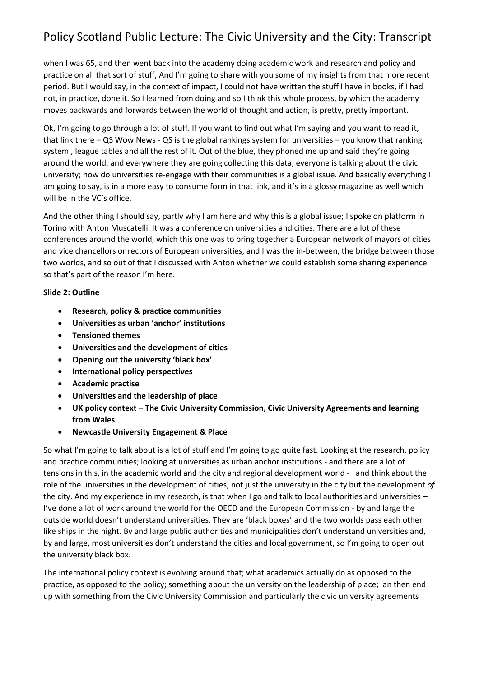when I was 65, and then went back into the academy doing academic work and research and policy and practice on all that sort of stuff, And I'm going to share with you some of my insights from that more recent period. But I would say, in the context of impact, I could not have written the stuff I have in books, if I had not, in practice, done it. So I learned from doing and so I think this whole process, by which the academy moves backwards and forwards between the world of thought and action, is pretty, pretty important.

Ok, I'm going to go through a lot of stuff. If you want to find out what I'm saying and you want to read it, that link there – QS Wow News - QS is the global rankings system for universities – you know that ranking system , league tables and all the rest of it. Out of the blue, they phoned me up and said they're going around the world, and everywhere they are going collecting this data, everyone is talking about the civic university; how do universities re-engage with their communities is a global issue. And basically everything I am going to say, is in a more easy to consume form in that link, and it's in a glossy magazine as well which will be in the VC's office.

And the other thing I should say, partly why I am here and why this is a global issue; I spoke on platform in Torino with Anton Muscatelli. It was a conference on universities and cities. There are a lot of these conferences around the world, which this one was to bring together a European network of mayors of cities and vice chancellors or rectors of European universities, and I was the in-between, the bridge between those two worlds, and so out of that I discussed with Anton whether we could establish some sharing experience so that's part of the reason I'm here.

#### **Slide 2: Outline**

- **Research, policy & practice communities**
- **Universities as urban 'anchor' institutions**
- **Tensioned themes**
- **Universities and the development of cities**
- **Opening out the university 'black box'**
- **International policy perspectives**
- **Academic practise**
- **Universities and the leadership of place**
- **UK policy context – The Civic University Commission, Civic University Agreements and learning from Wales**
- **Newcastle University Engagement & Place**

So what I'm going to talk about is a lot of stuff and I'm going to go quite fast. Looking at the research, policy and practice communities; looking at universities as urban anchor institutions - and there are a lot of tensions in this, in the academic world and the city and regional development world - and think about the role of the universities in the development of cities, not just the university in the city but the development *of* the city. And my experience in my research, is that when I go and talk to local authorities and universities – I've done a lot of work around the world for the OECD and the European Commission - by and large the outside world doesn't understand universities. They are 'black boxes' and the two worlds pass each other like ships in the night. By and large public authorities and municipalities don't understand universities and, by and large, most universities don't understand the cities and local government, so I'm going to open out the university black box.

The international policy context is evolving around that; what academics actually do as opposed to the practice, as opposed to the policy; something about the university on the leadership of place; an then end up with something from the Civic University Commission and particularly the civic university agreements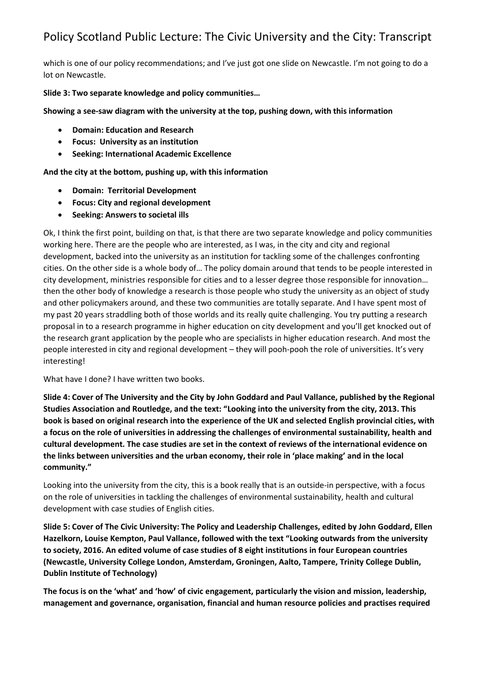which is one of our policy recommendations; and I've just got one slide on Newcastle. I'm not going to do a lot on Newcastle.

### **Slide 3: Two separate knowledge and policy communities…**

**Showing a see-saw diagram with the university at the top, pushing down, with this information** 

- **Domain: Education and Research**
- **Focus: University as an institution**
- **Seeking: International Academic Excellence**

**And the city at the bottom, pushing up, with this information**

- **Domain: Territorial Development**
- **Focus: City and regional development**
- **Seeking: Answers to societal ills**

Ok, I think the first point, building on that, is that there are two separate knowledge and policy communities working here. There are the people who are interested, as I was, in the city and city and regional development, backed into the university as an institution for tackling some of the challenges confronting cities. On the other side is a whole body of… The policy domain around that tends to be people interested in city development, ministries responsible for cities and to a lesser degree those responsible for innovation… then the other body of knowledge a research is those people who study the university as an object of study and other policymakers around, and these two communities are totally separate. And I have spent most of my past 20 years straddling both of those worlds and its really quite challenging. You try putting a research proposal in to a research programme in higher education on city development and you'll get knocked out of the research grant application by the people who are specialists in higher education research. And most the people interested in city and regional development – they will pooh-pooh the role of universities. It's very interesting!

What have I done? I have written two books.

**Slide 4: Cover of The University and the City by John Goddard and Paul Vallance, published by the Regional Studies Association and Routledge, and the text: "Looking into the university from the city, 2013. This book is based on original research into the experience of the UK and selected English provincial cities, with a focus on the role of universities in addressing the challenges of environmental sustainability, health and cultural development. The case studies are set in the context of reviews of the international evidence on the links between universities and the urban economy, their role in 'place making' and in the local community."**

Looking into the university from the city, this is a book really that is an outside-in perspective, with a focus on the role of universities in tackling the challenges of environmental sustainability, health and cultural development with case studies of English cities.

**Slide 5: Cover of The Civic University: The Policy and Leadership Challenges, edited by John Goddard, Ellen Hazelkorn, Louise Kempton, Paul Vallance, followed with the text "Looking outwards from the university to society, 2016. An edited volume of case studies of 8 eight institutions in four European countries (Newcastle, University College London, Amsterdam, Groningen, Aalto, Tampere, Trinity College Dublin, Dublin Institute of Technology)**

**The focus is on the 'what' and 'how' of civic engagement, particularly the vision and mission, leadership, management and governance, organisation, financial and human resource policies and practises required**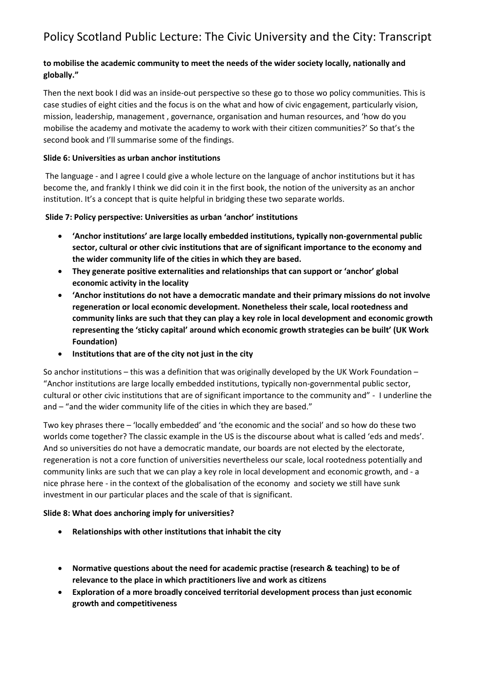## **to mobilise the academic community to meet the needs of the wider society locally, nationally and globally."**

Then the next book I did was an inside-out perspective so these go to those wo policy communities. This is case studies of eight cities and the focus is on the what and how of civic engagement, particularly vision, mission, leadership, management , governance, organisation and human resources, and 'how do you mobilise the academy and motivate the academy to work with their citizen communities?' So that's the second book and I'll summarise some of the findings.

## **Slide 6: Universities as urban anchor institutions**

The language - and I agree I could give a whole lecture on the language of anchor institutions but it has become the, and frankly I think we did coin it in the first book, the notion of the university as an anchor institution. It's a concept that is quite helpful in bridging these two separate worlds.

## **Slide 7: Policy perspective: Universities as urban 'anchor' institutions**

- **'Anchor institutions' are large locally embedded institutions, typically non-governmental public sector, cultural or other civic institutions that are of significant importance to the economy and the wider community life of the cities in which they are based.**
- **They generate positive externalities and relationships that can support or 'anchor' global economic activity in the locality**
- **'Anchor institutions do not have a democratic mandate and their primary missions do not involve regeneration or local economic development. Nonetheless their scale, local rootedness and community links are such that they can play a key role in local development and economic growth representing the 'sticky capital' around which economic growth strategies can be built' (UK Work Foundation)**
- **Institutions that are of the city not just in the city**

So anchor institutions – this was a definition that was originally developed by the UK Work Foundation – "Anchor institutions are large locally embedded institutions, typically non-governmental public sector, cultural or other civic institutions that are of significant importance to the community and" - I underline the and – "and the wider community life of the cities in which they are based."

Two key phrases there – 'locally embedded' and 'the economic and the social' and so how do these two worlds come together? The classic example in the US is the discourse about what is called 'eds and meds'. And so universities do not have a democratic mandate, our boards are not elected by the electorate, regeneration is not a core function of universities nevertheless our scale, local rootedness potentially and community links are such that we can play a key role in local development and economic growth, and - a nice phrase here - in the context of the globalisation of the economy and society we still have sunk investment in our particular places and the scale of that is significant.

### **Slide 8: What does anchoring imply for universities?**

- **Relationships with other institutions that inhabit the city**
- **Normative questions about the need for academic practise (research & teaching) to be of relevance to the place in which practitioners live and work as citizens**
- **Exploration of a more broadly conceived territorial development process than just economic growth and competitiveness**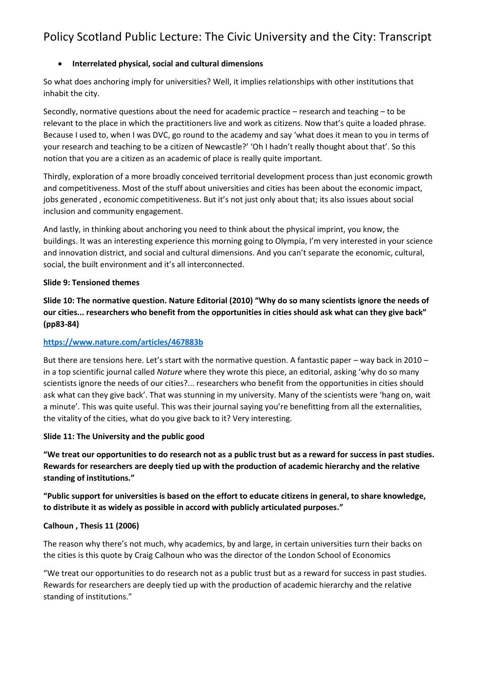## • **Interrelated physical, social and cultural dimensions**

So what does anchoring imply for universities? Well, it implies relationships with other institutions that inhabit the city.

Secondly, normative questions about the need for academic practice – research and teaching – to be relevant to the place in which the practitioners live and work as citizens. Now that's quite a loaded phrase. Because I used to, when I was DVC, go round to the academy and say 'what does it mean to you in terms of your research and teaching to be a citizen of Newcastle?' 'Oh I hadn't really thought about that'. So this notion that you are a citizen as an academic of place is really quite important.

Thirdly, exploration of a more broadly conceived territorial development process than just economic growth and competitiveness. Most of the stuff about universities and cities has been about the economic impact, jobs generated , economic competitiveness. But it's not just only about that; its also issues about social inclusion and community engagement.

And lastly, in thinking about anchoring you need to think about the physical imprint, you know, the buildings. It was an interesting experience this morning going to Olympia, I'm very interested in your science and innovation district, and social and cultural dimensions. And you can't separate the economic, cultural, social, the built environment and it's all interconnected.

#### **Slide 9: Tensioned themes**

**Slide 10: The normative question. Nature Editorial (2010) "Why do so many scientists ignore the needs of our cities... researchers who benefit from the opportunities in cities should ask what can they give back" (pp83-84)**

### **<https://www.nature.com/articles/467883b>**

But there are tensions here. Let's start with the normative question. A fantastic paper – way back in 2010 – in a top scientific journal called *Nature* where they wrote this piece, an editorial, asking 'why do so many scientists ignore the needs of our cities?... researchers who benefit from the opportunities in cities should ask what can they give back'. That was stunning in my university. Many of the scientists were 'hang on, wait a minute'. This was quite useful. This was their journal saying you're benefitting from all the externalities, the vitality of the cities, what do you give back to it? Very interesting.

#### **Slide 11: The University and the public good**

**"We treat our opportunities to do research not as a public trust but as a reward for success in past studies. Rewards for researchers are deeply tied up with the production of academic hierarchy and the relative standing of institutions."**

**"Public support for universities is based on the effort to educate citizens in general, to share knowledge, to distribute it as widely as possible in accord with publicly articulated purposes."**

### **Calhoun , Thesis 11 (2006)**

The reason why there's not much, why academics, by and large, in certain universities turn their backs on the cities is this quote by Craig Calhoun who was the director of the London School of Economics

"We treat our opportunities to do research not as a public trust but as a reward for success in past studies. Rewards for researchers are deeply tied up with the production of academic hierarchy and the relative standing of institutions."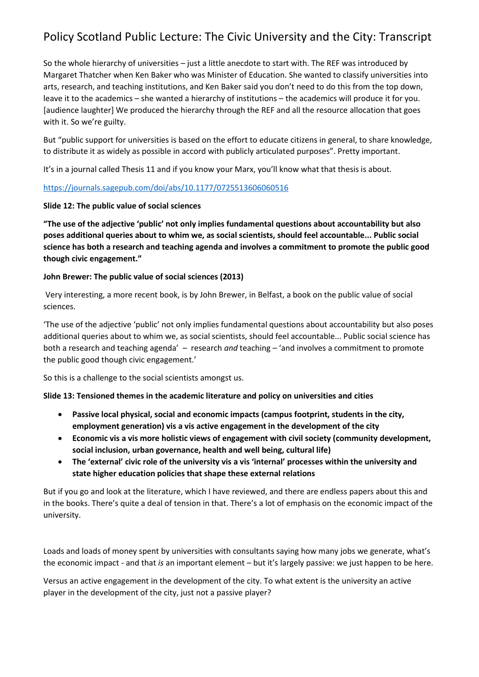So the whole hierarchy of universities – just a little anecdote to start with. The REF was introduced by Margaret Thatcher when Ken Baker who was Minister of Education. She wanted to classify universities into arts, research, and teaching institutions, and Ken Baker said you don't need to do this from the top down, leave it to the academics – she wanted a hierarchy of institutions – the academics will produce it for you. [audience laughter] We produced the hierarchy through the REF and all the resource allocation that goes with it. So we're guilty.

But "public support for universities is based on the effort to educate citizens in general, to share knowledge, to distribute it as widely as possible in accord with publicly articulated purposes". Pretty important.

It's in a journal called Thesis 11 and if you know your Marx, you'll know what that thesis is about.

### <https://journals.sagepub.com/doi/abs/10.1177/0725513606060516>

### **Slide 12: The public value of social sciences**

**"The use of the adjective 'public' not only implies fundamental questions about accountability but also poses additional queries about to whim we, as social scientists, should feel accountable... Public social science has both a research and teaching agenda and involves a commitment to promote the public good though civic engagement."** 

### **John Brewer: The public value of social sciences (2013)**

Very interesting, a more recent book, is by John Brewer, in Belfast, a book on the public value of social sciences.

'The use of the adjective 'public' not only implies fundamental questions about accountability but also poses additional queries about to whim we, as social scientists, should feel accountable... Public social science has both a research and teaching agenda' – research *and* teaching – 'and involves a commitment to promote the public good though civic engagement.'

So this is a challenge to the social scientists amongst us.

### **Slide 13: Tensioned themes in the academic literature and policy on universities and cities**

- **Passive local physical, social and economic impacts (campus footprint, students in the city, employment generation) vis a vis active engagement in the development of the city**
- **Economic vis a vis more holistic views of engagement with civil society (community development, social inclusion, urban governance, health and well being, cultural life)**
- **The 'external' civic role of the university vis a vis 'internal' processes within the university and state higher education policies that shape these external relations**

But if you go and look at the literature, which I have reviewed, and there are endless papers about this and in the books. There's quite a deal of tension in that. There's a lot of emphasis on the economic impact of the university.

Loads and loads of money spent by universities with consultants saying how many jobs we generate, what's the economic impact - and that *is* an important element – but it's largely passive: we just happen to be here.

Versus an active engagement in the development of the city. To what extent is the university an active player in the development of the city, just not a passive player?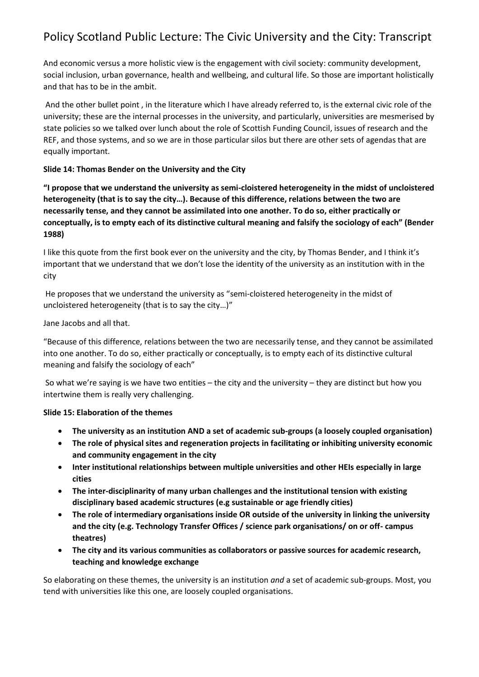And economic versus a more holistic view is the engagement with civil society: community development, social inclusion, urban governance, health and wellbeing, and cultural life. So those are important holistically and that has to be in the ambit.

And the other bullet point , in the literature which I have already referred to, is the external civic role of the university; these are the internal processes in the university, and particularly, universities are mesmerised by state policies so we talked over lunch about the role of Scottish Funding Council, issues of research and the REF, and those systems, and so we are in those particular silos but there are other sets of agendas that are equally important.

### **Slide 14: Thomas Bender on the University and the City**

**"I propose that we understand the university as semi-cloistered heterogeneity in the midst of uncloistered heterogeneity (that is to say the city…). Because of this difference, relations between the two are necessarily tense, and they cannot be assimilated into one another. To do so, either practically or conceptually, is to empty each of its distinctive cultural meaning and falsify the sociology of each" (Bender 1988)**

I like this quote from the first book ever on the university and the city, by Thomas Bender, and I think it's important that we understand that we don't lose the identity of the university as an institution with in the city

He proposes that we understand the university as "semi-cloistered heterogeneity in the midst of uncloistered heterogeneity (that is to say the city…)"

## Jane Jacobs and all that.

"Because of this difference, relations between the two are necessarily tense, and they cannot be assimilated into one another. To do so, either practically or conceptually, is to empty each of its distinctive cultural meaning and falsify the sociology of each"

So what we're saying is we have two entities – the city and the university – they are distinct but how you intertwine them is really very challenging.

### **Slide 15: Elaboration of the themes**

- **The university as an institution AND a set of academic sub-groups (a loosely coupled organisation)**
- **The role of physical sites and regeneration projects in facilitating or inhibiting university economic and community engagement in the city**
- **Inter institutional relationships between multiple universities and other HEIs especially in large cities**
- **The inter-disciplinarity of many urban challenges and the institutional tension with existing disciplinary based academic structures (e.g sustainable or age friendly cities)**
- **The role of intermediary organisations inside OR outside of the university in linking the university and the city (e.g. Technology Transfer Offices / science park organisations/ on or off- campus theatres)**
- **The city and its various communities as collaborators or passive sources for academic research, teaching and knowledge exchange**

So elaborating on these themes, the university is an institution *and* a set of academic sub-groups. Most, you tend with universities like this one, are loosely coupled organisations.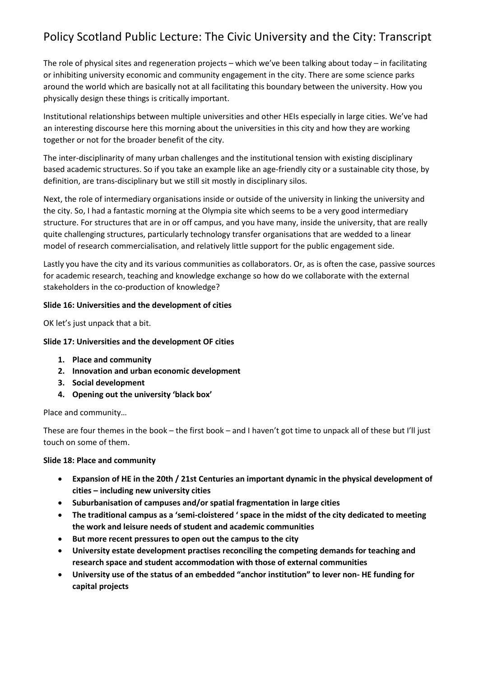The role of physical sites and regeneration projects – which we've been talking about today – in facilitating or inhibiting university economic and community engagement in the city. There are some science parks around the world which are basically not at all facilitating this boundary between the university. How you physically design these things is critically important.

Institutional relationships between multiple universities and other HEIs especially in large cities. We've had an interesting discourse here this morning about the universities in this city and how they are working together or not for the broader benefit of the city.

The inter-disciplinarity of many urban challenges and the institutional tension with existing disciplinary based academic structures. So if you take an example like an age-friendly city or a sustainable city those, by definition, are trans-disciplinary but we still sit mostly in disciplinary silos.

Next, the role of intermediary organisations inside or outside of the university in linking the university and the city. So, I had a fantastic morning at the Olympia site which seems to be a very good intermediary structure. For structures that are in or off campus, and you have many, inside the university, that are really quite challenging structures, particularly technology transfer organisations that are wedded to a linear model of research commercialisation, and relatively little support for the public engagement side.

Lastly you have the city and its various communities as collaborators. Or, as is often the case, passive sources for academic research, teaching and knowledge exchange so how do we collaborate with the external stakeholders in the co-production of knowledge?

### **Slide 16: Universities and the development of cities**

OK let's just unpack that a bit.

#### **Slide 17: Universities and the development OF cities**

- **1. Place and community**
- **2. Innovation and urban economic development**
- **3. Social development**
- **4. Opening out the university 'black box'**

Place and community…

These are four themes in the book – the first book – and I haven't got time to unpack all of these but I'll just touch on some of them.

#### **Slide 18: Place and community**

- **Expansion of HE in the 20th / 21st Centuries an important dynamic in the physical development of cities – including new university cities**
- **Suburbanisation of campuses and/or spatial fragmentation in large cities**
- **The traditional campus as a 'semi-cloistered ' space in the midst of the city dedicated to meeting the work and leisure needs of student and academic communities**
- **But more recent pressures to open out the campus to the city**
- **University estate development practises reconciling the competing demands for teaching and research space and student accommodation with those of external communities**
- **University use of the status of an embedded "anchor institution" to lever non- HE funding for capital projects**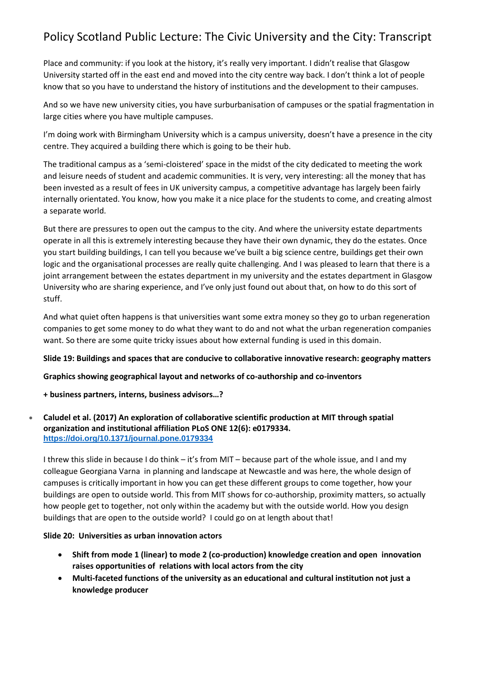Place and community: if you look at the history, it's really very important. I didn't realise that Glasgow University started off in the east end and moved into the city centre way back. I don't think a lot of people know that so you have to understand the history of institutions and the development to their campuses.

And so we have new university cities, you have surburbanisation of campuses or the spatial fragmentation in large cities where you have multiple campuses.

I'm doing work with Birmingham University which is a campus university, doesn't have a presence in the city centre. They acquired a building there which is going to be their hub.

The traditional campus as a 'semi-cloistered' space in the midst of the city dedicated to meeting the work and leisure needs of student and academic communities. It is very, very interesting: all the money that has been invested as a result of fees in UK university campus, a competitive advantage has largely been fairly internally orientated. You know, how you make it a nice place for the students to come, and creating almost a separate world.

But there are pressures to open out the campus to the city. And where the university estate departments operate in all this is extremely interesting because they have their own dynamic, they do the estates. Once you start building buildings, I can tell you because we've built a big science centre, buildings get their own logic and the organisational processes are really quite challenging. And I was pleased to learn that there is a joint arrangement between the estates department in my university and the estates department in Glasgow University who are sharing experience, and I've only just found out about that, on how to do this sort of stuff.

And what quiet often happens is that universities want some extra money so they go to urban regeneration companies to get some money to do what they want to do and not what the urban regeneration companies want. So there are some quite tricky issues about how external funding is used in this domain.

### **Slide 19: Buildings and spaces that are conducive to collaborative innovative research: geography matters**

### **Graphics showing geographical layout and networks of co-authorship and co-inventors**

### **+ business partners, interns, business advisors…?**

### • **Caludel et al. (2017) An exploration of collaborative scientific production at MIT through spatial organization and institutional affiliation PLoS ONE 12(6): e0179334. <https://doi.org/10.1371/journal.pone.0179334>**

I threw this slide in because I do think – it's from MIT – because part of the whole issue, and I and my colleague Georgiana Varna in planning and landscape at Newcastle and was here, the whole design of campuses is critically important in how you can get these different groups to come together, how your buildings are open to outside world. This from MIT shows for co-authorship, proximity matters, so actually how people get to together, not only within the academy but with the outside world. How you design buildings that are open to the outside world? I could go on at length about that!

### **Slide 20: Universities as urban innovation actors**

- **Shift from mode 1 (linear) to mode 2 (co-production) knowledge creation and open innovation raises opportunities of relations with local actors from the city**
- **Multi-faceted functions of the university as an educational and cultural institution not just a knowledge producer**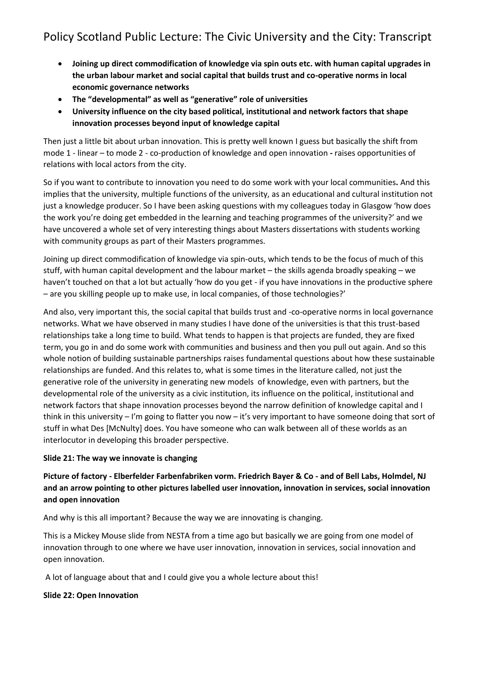- **Joining up direct commodification of knowledge via spin outs etc. with human capital upgrades in the urban labour market and social capital that builds trust and co-operative norms in local economic governance networks**
- **The "developmental" as well as "generative" role of universities**
- **University influence on the city based political, institutional and network factors that shape innovation processes beyond input of knowledge capital**

Then just a little bit about urban innovation. This is pretty well known I guess but basically the shift from mode 1 - linear – to mode 2 - co-production of knowledge and open innovation **-** raises opportunities of relations with local actors from the city.

So if you want to contribute to innovation you need to do some work with your local communities**.** And this implies that the university, multiple functions of the university, as an educational and cultural institution not just a knowledge producer. So I have been asking questions with my colleagues today in Glasgow 'how does the work you're doing get embedded in the learning and teaching programmes of the university?' and we have uncovered a whole set of very interesting things about Masters dissertations with students working with community groups as part of their Masters programmes.

Joining up direct commodification of knowledge via spin-outs, which tends to be the focus of much of this stuff, with human capital development and the labour market – the skills agenda broadly speaking – we haven't touched on that a lot but actually 'how do you get - if you have innovations in the productive sphere – are you skilling people up to make use, in local companies, of those technologies?'

And also, very important this, the social capital that builds trust and -co-operative norms in local governance networks. What we have observed in many studies I have done of the universities is that this trust-based relationships take a long time to build. What tends to happen is that projects are funded, they are fixed term, you go in and do some work with communities and business and then you pull out again. And so this whole notion of building sustainable partnerships raises fundamental questions about how these sustainable relationships are funded. And this relates to, what is some times in the literature called, not just the generative role of the university in generating new models of knowledge, even with partners, but the developmental role of the university as a civic institution, its influence on the political, institutional and network factors that shape innovation processes beyond the narrow definition of knowledge capital and I think in this university – I'm going to flatter you now – it's very important to have someone doing that sort of stuff in what Des [McNulty] does. You have someone who can walk between all of these worlds as an interlocutor in developing this broader perspective.

## **Slide 21: The way we innovate is changing**

**Picture of factory - Elberfelder Farbenfabriken vorm. Friedrich Bayer & Co - and of Bell Labs, Holmdel, NJ and an arrow pointing to other pictures labelled user innovation, innovation in services, social innovation and open innovation**

And why is this all important? Because the way we are innovating is changing.

This is a Mickey Mouse slide from NESTA from a time ago but basically we are going from one model of innovation through to one where we have user innovation, innovation in services, social innovation and open innovation.

A lot of language about that and I could give you a whole lecture about this!

## **Slide 22: Open Innovation**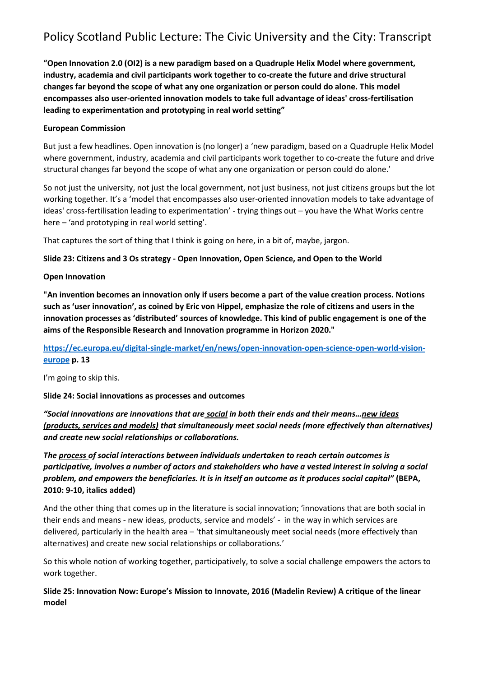**"Open Innovation 2.0 (OI2) is a new paradigm based on a Quadruple Helix Model where government, industry, academia and civil participants work together to co-create the future and drive structural changes far beyond the scope of what any one organization or person could do alone. This model encompasses also user-oriented innovation models to take full advantage of ideas' cross-fertilisation leading to experimentation and prototyping in real world setting"**

#### **European Commission**

But just a few headlines. Open innovation is (no longer) a 'new paradigm, based on a Quadruple Helix Model where government, industry, academia and civil participants work together to co-create the future and drive structural changes far beyond the scope of what any one organization or person could do alone.'

So not just the university, not just the local government, not just business, not just citizens groups but the lot working together. It's a 'model that encompasses also user-oriented innovation models to take advantage of ideas' cross-fertilisation leading to experimentation' - trying things out – you have the What Works centre here – 'and prototyping in real world setting'.

That captures the sort of thing that I think is going on here, in a bit of, maybe, jargon.

### **Slide 23: Citizens and 3 Os strategy - Open Innovation, Open Science, and Open to the World**

#### **Open Innovation**

**"An invention becomes an innovation only if users become a part of the value creation process. Notions such as 'user innovation', as coined by Eric von Hippel, emphasize the role of citizens and users in the innovation processes as 'distributed' sources of knowledge. This kind of public engagement is one of the aims of the Responsible Research and Innovation programme in Horizon 2020."**

## **[https://ec.europa.eu/digital-single-market/en/news/open-innovation-open-science-open-world-vision](https://ec.europa.eu/digital-single-market/en/news/open-innovation-open-science-open-world-vision-europe)[europe](https://ec.europa.eu/digital-single-market/en/news/open-innovation-open-science-open-world-vision-europe) p. 13**

I'm going to skip this.

#### **Slide 24: Social innovations as processes and outcomes**

*"Social innovations are innovations that are social in both their ends and their means…new ideas (products, services and models) that simultaneously meet social needs (more effectively than alternatives) and create new social relationships or collaborations.* 

*The process of social interactions between individuals undertaken to reach certain outcomes is participative, involves a number of actors and stakeholders who have a vested interest in solving a social problem, and empowers the beneficiaries. It is in itself an outcome as it produces social capital"* **(BEPA, 2010: 9-10, italics added)**

And the other thing that comes up in the literature is social innovation; 'innovations that are both social in their ends and means - new ideas, products, service and models' - in the way in which services are delivered, particularly in the health area – 'that simultaneously meet social needs (more effectively than alternatives) and create new social relationships or collaborations.'

So this whole notion of working together, participatively, to solve a social challenge empowers the actors to work together.

**Slide 25: Innovation Now: Europe's Mission to Innovate, 2016 (Madelin Review) A critique of the linear model**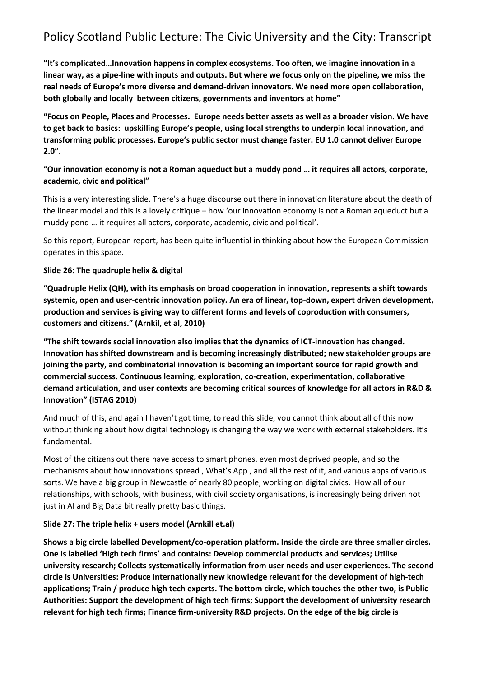**"It's complicated…Innovation happens in complex ecosystems. Too often, we imagine innovation in a linear way, as a pipe-line with inputs and outputs. But where we focus only on the pipeline, we miss the real needs of Europe's more diverse and demand-driven innovators. We need more open collaboration, both globally and locally between citizens, governments and inventors at home"**

**"Focus on People, Places and Processes. Europe needs better assets as well as a broader vision. We have to get back to basics: upskilling Europe's people, using local strengths to underpin local innovation, and transforming public processes. Europe's public sector must change faster. EU 1.0 cannot deliver Europe 2.0".**

### **"Our innovation economy is not a Roman aqueduct but a muddy pond … it requires all actors, corporate, academic, civic and political"**

This is a very interesting slide. There's a huge discourse out there in innovation literature about the death of the linear model and this is a lovely critique – how 'our innovation economy is not a Roman aqueduct but a muddy pond … it requires all actors, corporate, academic, civic and political'.

So this report, European report, has been quite influential in thinking about how the European Commission operates in this space.

### **Slide 26: The quadruple helix & digital**

**"Quadruple Helix (QH), with its emphasis on broad cooperation in innovation, represents a shift towards systemic, open and user-centric innovation policy. An era of linear, top-down, expert driven development, production and services is giving way to different forms and levels of coproduction with consumers, customers and citizens." (Arnkil, et al, 2010)**

**"The shift towards social innovation also implies that the dynamics of ICT-innovation has changed. Innovation has shifted downstream and is becoming increasingly distributed; new stakeholder groups are joining the party, and combinatorial innovation is becoming an important source for rapid growth and commercial success. Continuous learning, exploration, co-creation, experimentation, collaborative demand articulation, and user contexts are becoming critical sources of knowledge for all actors in R&D & Innovation" (ISTAG 2010)**

And much of this, and again I haven't got time, to read this slide, you cannot think about all of this now without thinking about how digital technology is changing the way we work with external stakeholders. It's fundamental.

Most of the citizens out there have access to smart phones, even most deprived people, and so the mechanisms about how innovations spread , What's App , and all the rest of it, and various apps of various sorts. We have a big group in Newcastle of nearly 80 people, working on digital civics. How all of our relationships, with schools, with business, with civil society organisations, is increasingly being driven not just in AI and Big Data bit really pretty basic things.

### **Slide 27: The triple helix + users model (Arnkill et.al)**

**Shows a big circle labelled Development/co-operation platform. Inside the circle are three smaller circles. One is labelled 'High tech firms' and contains: Develop commercial products and services; Utilise university research; Collects systematically information from user needs and user experiences. The second circle is Universities: Produce internationally new knowledge relevant for the development of high-tech applications; Train / produce high tech experts. The bottom circle, which touches the other two, is Public Authorities: Support the development of high tech firms; Support the development of university research relevant for high tech firms; Finance firm-university R&D projects. On the edge of the big circle is**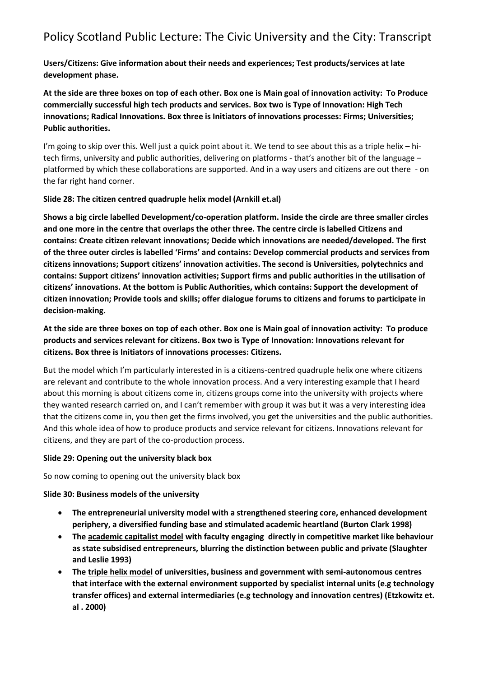**Users/Citizens: Give information about their needs and experiences; Test products/services at late development phase.**

**At the side are three boxes on top of each other. Box one is Main goal of innovation activity: To Produce commercially successful high tech products and services. Box two is Type of Innovation: High Tech innovations; Radical Innovations. Box three is Initiators of innovations processes: Firms; Universities; Public authorities.**

I'm going to skip over this. Well just a quick point about it. We tend to see about this as a triple helix – hitech firms, university and public authorities, delivering on platforms - that's another bit of the language – platformed by which these collaborations are supported. And in a way users and citizens are out there - on the far right hand corner.

#### **Slide 28: The citizen centred quadruple helix model (Arnkill et.al)**

**Shows a big circle labelled Development/co-operation platform. Inside the circle are three smaller circles and one more in the centre that overlaps the other three. The centre circle is labelled Citizens and contains: Create citizen relevant innovations; Decide which innovations are needed/developed. The first of the three outer circles is labelled 'Firms' and contains: Develop commercial products and services from citizens innovations; Support citizens' innovation activities. The second is Universities, polytechnics and contains: Support citizens' innovation activities; Support firms and public authorities in the utilisation of citizens' innovations. At the bottom is Public Authorities, which contains: Support the development of citizen innovation; Provide tools and skills; offer dialogue forums to citizens and forums to participate in decision-making.**

**At the side are three boxes on top of each other. Box one is Main goal of innovation activity: To produce products and services relevant for citizens. Box two is Type of Innovation: Innovations relevant for citizens. Box three is Initiators of innovations processes: Citizens.**

But the model which I'm particularly interested in is a citizens-centred quadruple helix one where citizens are relevant and contribute to the whole innovation process. And a very interesting example that I heard about this morning is about citizens come in, citizens groups come into the university with projects where they wanted research carried on, and I can't remember with group it was but it was a very interesting idea that the citizens come in, you then get the firms involved, you get the universities and the public authorities. And this whole idea of how to produce products and service relevant for citizens. Innovations relevant for citizens, and they are part of the co-production process.

#### **Slide 29: Opening out the university black box**

So now coming to opening out the university black box

### **Slide 30: Business models of the university**

- **The entrepreneurial university model with a strengthened steering core, enhanced development periphery, a diversified funding base and stimulated academic heartland (Burton Clark 1998)**
- **The academic capitalist model with faculty engaging directly in competitive market like behaviour as state subsidised entrepreneurs, blurring the distinction between public and private (Slaughter and Leslie 1993)**
- **The triple helix model of universities, business and government with semi-autonomous centres that interface with the external environment supported by specialist internal units (e.g technology transfer offices) and external intermediaries (e.g technology and innovation centres) (Etzkowitz et. al . 2000)**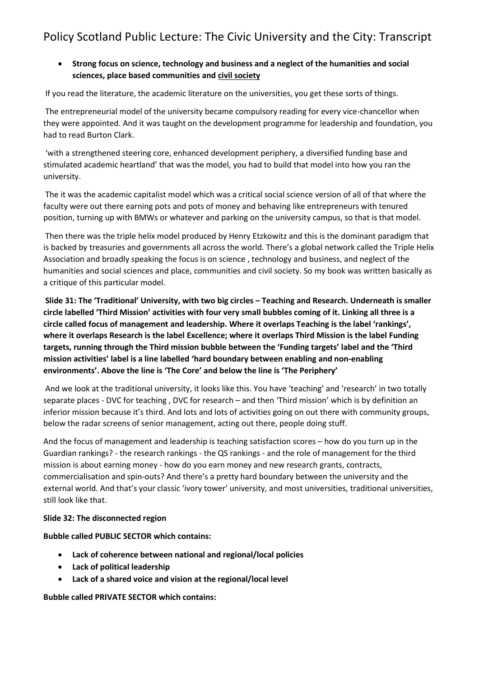## • **Strong focus on science, technology and business and a neglect of the humanities and social sciences, place based communities and civil society**

If you read the literature, the academic literature on the universities, you get these sorts of things.

The entrepreneurial model of the university became compulsory reading for every vice-chancellor when they were appointed. And it was taught on the development programme for leadership and foundation, you had to read Burton Clark.

'with a strengthened steering core, enhanced development periphery, a diversified funding base and stimulated academic heartland' that was the model, you had to build that model into how you ran the university.

The it was the academic capitalist model which was a critical social science version of all of that where the faculty were out there earning pots and pots of money and behaving like entrepreneurs with tenured position, turning up with BMWs or whatever and parking on the university campus, so that is that model.

Then there was the triple helix model produced by Henry Etzkowitz and this is the dominant paradigm that is backed by treasuries and governments all across the world. There's a global network called the Triple Helix Association and broadly speaking the focus is on science , technology and business, and neglect of the humanities and social sciences and place, communities and civil society. So my book was written basically as a critique of this particular model.

**Slide 31: The 'Traditional' University, with two big circles – Teaching and Research. Underneath is smaller circle labelled 'Third Mission' activities with four very small bubbles coming of it. Linking all three is a circle called focus of management and leadership. Where it overlaps Teaching is the label 'rankings', where it overlaps Research is the label Excellence; where it overlaps Third Mission is the label Funding targets, running through the Third mission bubble between the 'Funding targets' label and the 'Third mission activities' label is a line labelled 'hard boundary between enabling and non-enabling environments'. Above the line is 'The Core' and below the line is 'The Periphery'**

And we look at the traditional university, it looks like this. You have 'teaching' and 'research' in two totally separate places - DVC for teaching , DVC for research – and then 'Third mission' which is by definition an inferior mission because it's third. And lots and lots of activities going on out there with community groups, below the radar screens of senior management, acting out there, people doing stuff.

And the focus of management and leadership is teaching satisfaction scores – how do you turn up in the Guardian rankings? - the research rankings - the QS rankings - and the role of management for the third mission is about earning money - how do you earn money and new research grants, contracts, commercialisation and spin-outs? And there's a pretty hard boundary between the university and the external world. And that's your classic 'ivory tower' university, and most universities, traditional universities, still look like that.

### **Slide 32: The disconnected region**

**Bubble called PUBLIC SECTOR which contains:** 

- **Lack of coherence between national and regional/local policies**
- **Lack of political leadership**
- **Lack of a shared voice and vision at the regional/local level**

**Bubble called PRIVATE SECTOR which contains:**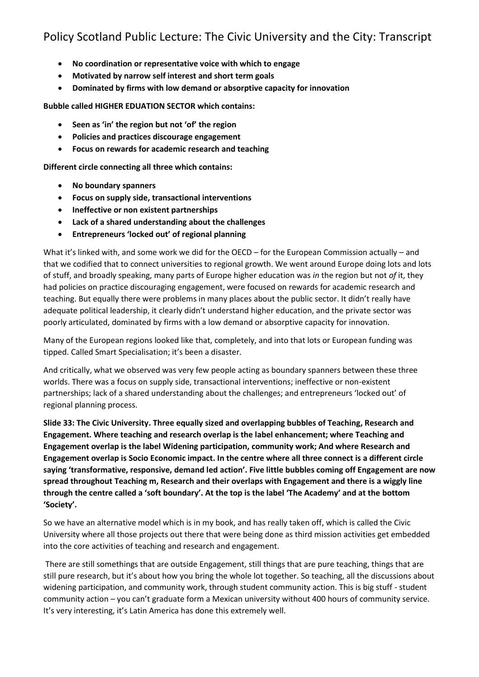- **No coordination or representative voice with which to engage**
- **Motivated by narrow self interest and short term goals**
- **Dominated by firms with low demand or absorptive capacity for innovation**

### **Bubble called HIGHER EDUATION SECTOR which contains:**

- **Seen as 'in' the region but not 'of' the region**
- **Policies and practices discourage engagement**
- **Focus on rewards for academic research and teaching**

**Different circle connecting all three which contains:** 

- **No boundary spanners**
- **Focus on supply side, transactional interventions**
- **Ineffective or non existent partnerships**
- **Lack of a shared understanding about the challenges**
- **Entrepreneurs 'locked out' of regional planning**

What it's linked with, and some work we did for the OECD – for the European Commission actually – and that we codified that to connect universities to regional growth. We went around Europe doing lots and lots of stuff, and broadly speaking, many parts of Europe higher education was *in* the region but not *of* it, they had policies on practice discouraging engagement, were focused on rewards for academic research and teaching. But equally there were problems in many places about the public sector. It didn't really have adequate political leadership, it clearly didn't understand higher education, and the private sector was poorly articulated, dominated by firms with a low demand or absorptive capacity for innovation.

Many of the European regions looked like that, completely, and into that lots or European funding was tipped. Called Smart Specialisation; it's been a disaster.

And critically, what we observed was very few people acting as boundary spanners between these three worlds. There was a focus on supply side, transactional interventions; ineffective or non-existent partnerships; lack of a shared understanding about the challenges; and entrepreneurs 'locked out' of regional planning process.

**Slide 33: The Civic University. Three equally sized and overlapping bubbles of Teaching, Research and Engagement. Where teaching and research overlap is the label enhancement; where Teaching and Engagement overlap is the label Widening participation, community work; And where Research and Engagement overlap is Socio Economic impact. In the centre where all three connect is a different circle saying 'transformative, responsive, demand led action'. Five little bubbles coming off Engagement are now spread throughout Teaching m, Research and their overlaps with Engagement and there is a wiggly line through the centre called a 'soft boundary'. At the top is the label 'The Academy' and at the bottom 'Society'.**

So we have an alternative model which is in my book, and has really taken off, which is called the Civic University where all those projects out there that were being done as third mission activities get embedded into the core activities of teaching and research and engagement.

There are still somethings that are outside Engagement, still things that are pure teaching, things that are still pure research, but it's about how you bring the whole lot together. So teaching, all the discussions about widening participation, and community work, through student community action. This is big stuff - student community action – you can't graduate form a Mexican university without 400 hours of community service. It's very interesting, it's Latin America has done this extremely well.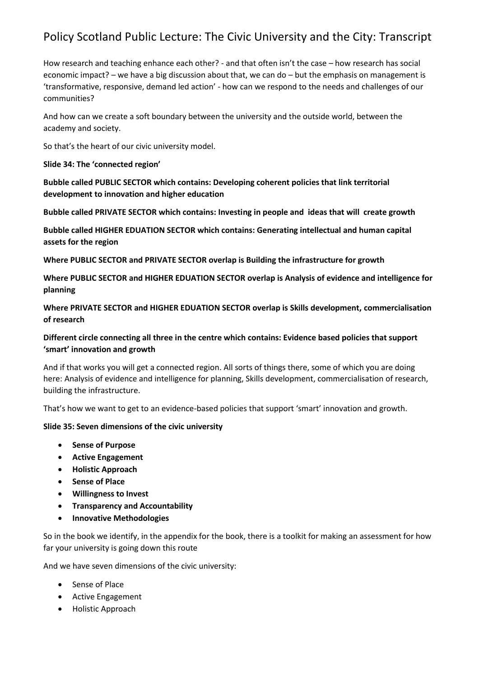How research and teaching enhance each other? - and that often isn't the case – how research has social economic impact? – we have a big discussion about that, we can do – but the emphasis on management is 'transformative, responsive, demand led action' - how can we respond to the needs and challenges of our communities?

And how can we create a soft boundary between the university and the outside world, between the academy and society.

So that's the heart of our civic university model.

#### **Slide 34: The 'connected region'**

**Bubble called PUBLIC SECTOR which contains: Developing coherent policies that link territorial development to innovation and higher education**

**Bubble called PRIVATE SECTOR which contains: Investing in people and ideas that will create growth**

**Bubble called HIGHER EDUATION SECTOR which contains: Generating intellectual and human capital assets for the region**

**Where PUBLIC SECTOR and PRIVATE SECTOR overlap is Building the infrastructure for growth**

**Where PUBLIC SECTOR and HIGHER EDUATION SECTOR overlap is Analysis of evidence and intelligence for planning**

**Where PRIVATE SECTOR and HIGHER EDUATION SECTOR overlap is Skills development, commercialisation of research**

## **Different circle connecting all three in the centre which contains: Evidence based policies that support 'smart' innovation and growth**

And if that works you will get a connected region. All sorts of things there, some of which you are doing here: Analysis of evidence and intelligence for planning, Skills development, commercialisation of research, building the infrastructure.

That's how we want to get to an evidence-based policies that support 'smart' innovation and growth.

### **Slide 35: Seven dimensions of the civic university**

- **Sense of Purpose**
- **Active Engagement**
- **Holistic Approach**
- **Sense of Place**
- **Willingness to Invest**
- **Transparency and Accountability**
- **Innovative Methodologies**

So in the book we identify, in the appendix for the book, there is a toolkit for making an assessment for how far your university is going down this route

And we have seven dimensions of the civic university:

- Sense of Place
- Active Engagement
- Holistic Approach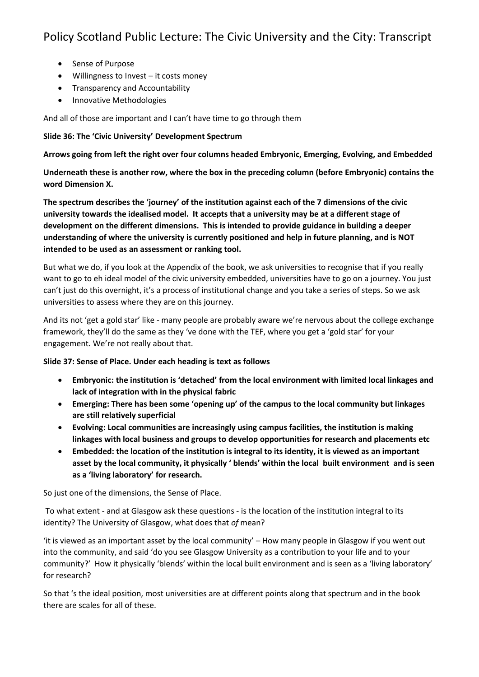- Sense of Purpose
- Willingness to Invest it costs money
- Transparency and Accountability
- Innovative Methodologies

And all of those are important and I can't have time to go through them

#### **Slide 36: The 'Civic University' Development Spectrum**

**Arrows going from left the right over four columns headed Embryonic, Emerging, Evolving, and Embedded**

**Underneath these is another row, where the box in the preceding column (before Embryonic) contains the word Dimension X.**

**The spectrum describes the 'journey' of the institution against each of the 7 dimensions of the civic university towards the idealised model. It accepts that a university may be at a different stage of development on the different dimensions. This is intended to provide guidance in building a deeper understanding of where the university is currently positioned and help in future planning, and is NOT intended to be used as an assessment or ranking tool.**

But what we do, if you look at the Appendix of the book, we ask universities to recognise that if you really want to go to eh ideal model of the civic university embedded, universities have to go on a journey. You just can't just do this overnight, it's a process of institutional change and you take a series of steps. So we ask universities to assess where they are on this journey.

And its not 'get a gold star' like - many people are probably aware we're nervous about the college exchange framework, they'll do the same as they 've done with the TEF, where you get a 'gold star' for your engagement. We're not really about that.

### **Slide 37: Sense of Place. Under each heading is text as follows**

- **Embryonic: the institution is 'detached' from the local environment with limited local linkages and lack of integration with in the physical fabric**
- **Emerging: There has been some 'opening up' of the campus to the local community but linkages are still relatively superficial**
- **Evolving: Local communities are increasingly using campus facilities, the institution is making linkages with local business and groups to develop opportunities for research and placements etc**
- **Embedded: the location of the institution is integral to its identity, it is viewed as an important asset by the local community, it physically ' blends' within the local built environment and is seen as a 'living laboratory' for research.**

So just one of the dimensions, the Sense of Place.

To what extent - and at Glasgow ask these questions - is the location of the institution integral to its identity? The University of Glasgow, what does that *of* mean?

'it is viewed as an important asset by the local community' – How many people in Glasgow if you went out into the community, and said 'do you see Glasgow University as a contribution to your life and to your community?' How it physically 'blends' within the local built environment and is seen as a 'living laboratory' for research?

So that 's the ideal position, most universities are at different points along that spectrum and in the book there are scales for all of these.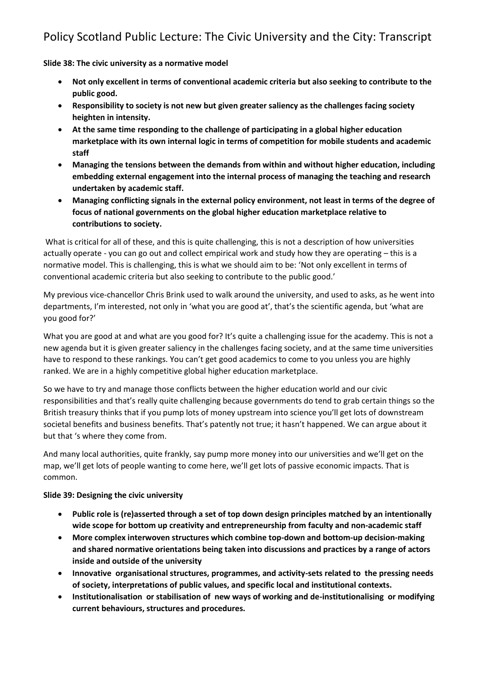**Slide 38: The civic university as a normative model**

- **Not only excellent in terms of conventional academic criteria but also seeking to contribute to the public good.**
- **Responsibility to society is not new but given greater saliency as the challenges facing society heighten in intensity.**
- **At the same time responding to the challenge of participating in a global higher education marketplace with its own internal logic in terms of competition for mobile students and academic staff**
- **Managing the tensions between the demands from within and without higher education, including embedding external engagement into the internal process of managing the teaching and research undertaken by academic staff.**
- **Managing conflicting signals in the external policy environment, not least in terms of the degree of focus of national governments on the global higher education marketplace relative to contributions to society.**

What is critical for all of these, and this is quite challenging, this is not a description of how universities actually operate - you can go out and collect empirical work and study how they are operating – this is a normative model. This is challenging, this is what we should aim to be: 'Not only excellent in terms of conventional academic criteria but also seeking to contribute to the public good.'

My previous vice-chancellor Chris Brink used to walk around the university, and used to asks, as he went into departments, I'm interested, not only in 'what you are good at', that's the scientific agenda, but 'what are you good for?'

What you are good at and what are you good for? It's quite a challenging issue for the academy. This is not a new agenda but it is given greater saliency in the challenges facing society, and at the same time universities have to respond to these rankings. You can't get good academics to come to you unless you are highly ranked. We are in a highly competitive global higher education marketplace.

So we have to try and manage those conflicts between the higher education world and our civic responsibilities and that's really quite challenging because governments do tend to grab certain things so the British treasury thinks that if you pump lots of money upstream into science you'll get lots of downstream societal benefits and business benefits. That's patently not true; it hasn't happened. We can argue about it but that 's where they come from.

And many local authorities, quite frankly, say pump more money into our universities and we'll get on the map, we'll get lots of people wanting to come here, we'll get lots of passive economic impacts. That is common.

### **Slide 39: Designing the civic university**

- **Public role is (re)asserted through a set of top down design principles matched by an intentionally wide scope for bottom up creativity and entrepreneurship from faculty and non-academic staff**
- **More complex interwoven structures which combine top-down and bottom-up decision-making and shared normative orientations being taken into discussions and practices by a range of actors inside and outside of the university**
- **Innovative organisational structures, programmes, and activity-sets related to the pressing needs of society, interpretations of public values, and specific local and institutional contexts.**
- **Institutionalisation or stabilisation of new ways of working and de-institutionalising or modifying current behaviours, structures and procedures.**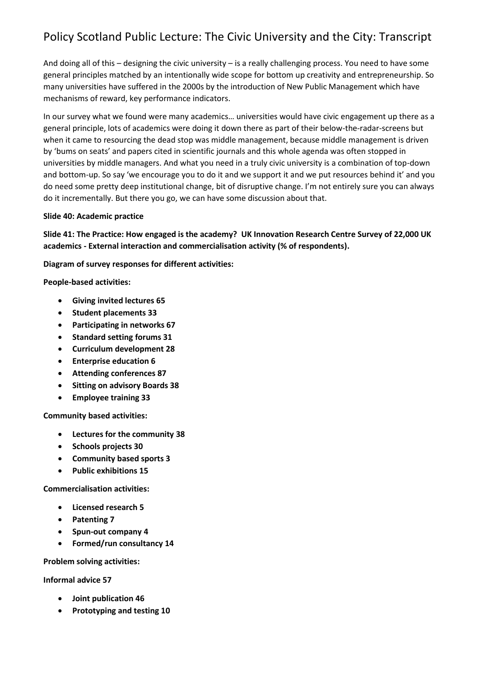And doing all of this – designing the civic university – is a really challenging process. You need to have some general principles matched by an intentionally wide scope for bottom up creativity and entrepreneurship. So many universities have suffered in the 2000s by the introduction of New Public Management which have mechanisms of reward, key performance indicators.

In our survey what we found were many academics… universities would have civic engagement up there as a general principle, lots of academics were doing it down there as part of their below-the-radar-screens but when it came to resourcing the dead stop was middle management, because middle management is driven by 'bums on seats' and papers cited in scientific journals and this whole agenda was often stopped in universities by middle managers. And what you need in a truly civic university is a combination of top-down and bottom-up. So say 'we encourage you to do it and we support it and we put resources behind it' and you do need some pretty deep institutional change, bit of disruptive change. I'm not entirely sure you can always do it incrementally. But there you go, we can have some discussion about that.

#### **Slide 40: Academic practice**

**Slide 41: The Practice: How engaged is the academy? UK Innovation Research Centre Survey of 22,000 UK academics - External interaction and commercialisation activity (% of respondents).**

**Diagram of survey responses for different activities:**

**People-based activities:**

- **Giving invited lectures 65**
- **Student placements 33**
- **Participating in networks 67**
- **Standard setting forums 31**
- **Curriculum development 28**
- **Enterprise education 6**
- **Attending conferences 87**
- **Sitting on advisory Boards 38**
- **Employee training 33**

**Community based activities:**

- **Lectures for the community 38**
- **Schools projects 30**
- **Community based sports 3**
- **Public exhibitions 15**

**Commercialisation activities:**

- **Licensed research 5**
- **Patenting 7**
- **Spun-out company 4**
- **Formed/run consultancy 14**

**Problem solving activities:**

**Informal advice 57**

- **Joint publication 46**
- **Prototyping and testing 10**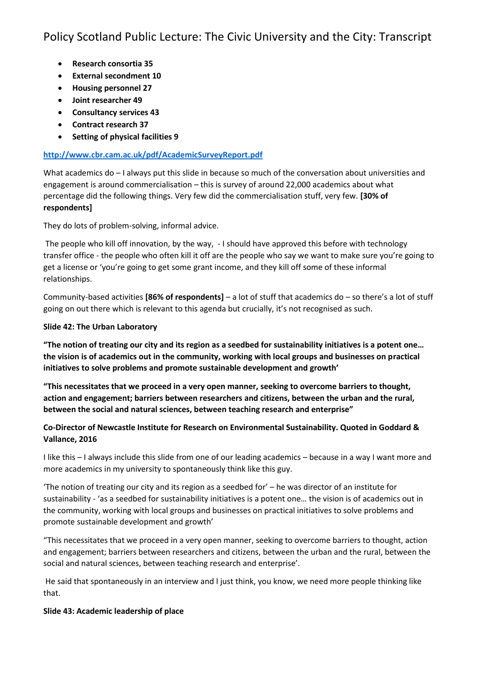- **Research consortia 35**
- **External secondment 10**
- **Housing personnel 27**
- **Joint researcher 49**
- **Consultancy services 43**
- **Contract research 37**
- **Setting of physical facilities 9**

### **<http://www.cbr.cam.ac.uk/pdf/AcademicSurveyReport.pdf>**

What academics do – I always put this slide in because so much of the conversation about universities and engagement is around commercialisation – this is survey of around 22,000 academics about what percentage did the following things. Very few did the commercialisation stuff, very few. **[30% of respondents]**

They do lots of problem-solving, informal advice.

The people who kill off innovation, by the way, - I should have approved this before with technology transfer office - the people who often kill it off are the people who say we want to make sure you're going to get a license or 'you're going to get some grant income, and they kill off some of these informal relationships.

Community-based activities **[86% of respondents]** – a lot of stuff that academics do – so there's a lot of stuff going on out there which is relevant to this agenda but crucially, it's not recognised as such.

#### **Slide 42: The Urban Laboratory**

**"The notion of treating our city and its region as a seedbed for sustainability initiatives is a potent one… the vision is of academics out in the community, working with local groups and businesses on practical initiatives to solve problems and promote sustainable development and growth'**

**"This necessitates that we proceed in a very open manner, seeking to overcome barriers to thought, action and engagement; barriers between researchers and citizens, between the urban and the rural, between the social and natural sciences, between teaching research and enterprise"**

## **Co-Director of Newcastle Institute for Research on Environmental Sustainability. Quoted in Goddard & Vallance, 2016**

I like this – I always include this slide from one of our leading academics – because in a way I want more and more academics in my university to spontaneously think like this guy.

'The notion of treating our city and its region as a seedbed for' – he was director of an institute for sustainability - 'as a seedbed for sustainability initiatives is a potent one… the vision is of academics out in the community, working with local groups and businesses on practical initiatives to solve problems and promote sustainable development and growth'

"This necessitates that we proceed in a very open manner, seeking to overcome barriers to thought, action and engagement; barriers between researchers and citizens, between the urban and the rural, between the social and natural sciences, between teaching research and enterprise'.

He said that spontaneously in an interview and I just think, you know, we need more people thinking like that.

### **Slide 43: Academic leadership of place**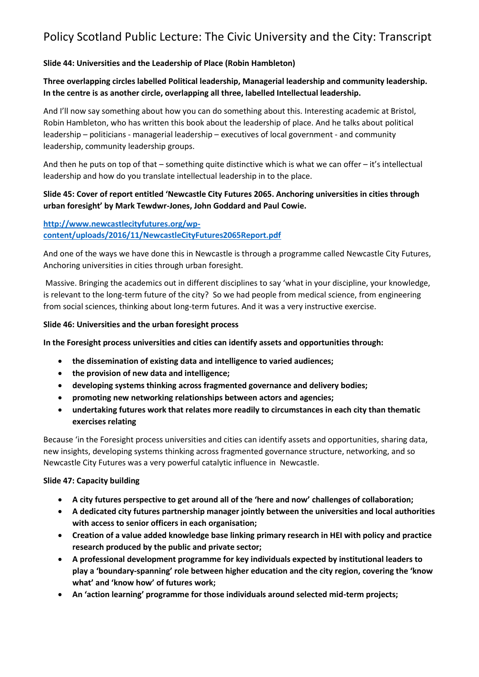### **Slide 44: Universities and the Leadership of Place (Robin Hambleton)**

## **Three overlapping circles labelled Political leadership, Managerial leadership and community leadership. In the centre is as another circle, overlapping all three, labelled Intellectual leadership.**

And I'll now say something about how you can do something about this. Interesting academic at Bristol, Robin Hambleton, who has written this book about the leadership of place. And he talks about political leadership – politicians - managerial leadership – executives of local government - and community leadership, community leadership groups.

And then he puts on top of that – something quite distinctive which is what we can offer – it's intellectual leadership and how do you translate intellectual leadership in to the place.

### **Slide 45: Cover of report entitled 'Newcastle City Futures 2065. Anchoring universities in cities through urban foresight' by Mark Tewdwr-Jones, John Goddard and Paul Cowie.**

### **[http://www.newcastlecityfutures.org/wp](http://www.newcastlecityfutures.org/wp-content/uploads/2016/11/NewcastleCityFutures2065Report.pdf)[content/uploads/2016/11/NewcastleCityFutures2065Report.pdf](http://www.newcastlecityfutures.org/wp-content/uploads/2016/11/NewcastleCityFutures2065Report.pdf)**

And one of the ways we have done this in Newcastle is through a programme called Newcastle City Futures, Anchoring universities in cities through urban foresight.

Massive. Bringing the academics out in different disciplines to say 'what in your discipline, your knowledge, is relevant to the long-term future of the city? So we had people from medical science, from engineering from social sciences, thinking about long-term futures. And it was a very instructive exercise.

#### **Slide 46: Universities and the urban foresight process**

**In the Foresight process universities and cities can identify assets and opportunities through:** 

- **the dissemination of existing data and intelligence to varied audiences;**
- **the provision of new data and intelligence;**
- **developing systems thinking across fragmented governance and delivery bodies;**
- **promoting new networking relationships between actors and agencies;**
- **undertaking futures work that relates more readily to circumstances in each city than thematic exercises relating**

Because 'in the Foresight process universities and cities can identify assets and opportunities, sharing data, new insights, developing systems thinking across fragmented governance structure, networking, and so Newcastle City Futures was a very powerful catalytic influence in Newcastle.

#### **Slide 47: Capacity building**

- **A city futures perspective to get around all of the 'here and now' challenges of collaboration;**
- **A dedicated city futures partnership manager jointly between the universities and local authorities with access to senior officers in each organisation;**
- **Creation of a value added knowledge base linking primary research in HEI with policy and practice research produced by the public and private sector;**
- **A professional development programme for key individuals expected by institutional leaders to play a 'boundary-spanning' role between higher education and the city region, covering the 'know what' and 'know how' of futures work;**
- **An 'action learning' programme for those individuals around selected mid-term projects;**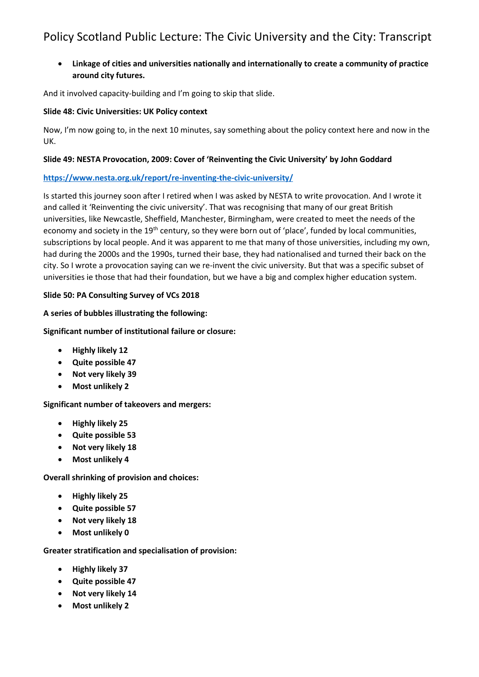## • **Linkage of cities and universities nationally and internationally to create a community of practice around city futures.**

And it involved capacity-building and I'm going to skip that slide.

## **Slide 48: Civic Universities: UK Policy context**

Now, I'm now going to, in the next 10 minutes, say something about the policy context here and now in the UK.

### **Slide 49: NESTA Provocation, 2009: Cover of 'Reinventing the Civic University' by John Goddard**

## **<https://www.nesta.org.uk/report/re-inventing-the-civic-university/>**

Is started this journey soon after I retired when I was asked by NESTA to write provocation. And I wrote it and called it 'Reinventing the civic university'. That was recognising that many of our great British universities, like Newcastle, Sheffield, Manchester, Birmingham, were created to meet the needs of the economy and society in the 19<sup>th</sup> century, so they were born out of 'place', funded by local communities, subscriptions by local people. And it was apparent to me that many of those universities, including my own, had during the 2000s and the 1990s, turned their base, they had nationalised and turned their back on the city. So I wrote a provocation saying can we re-invent the civic university. But that was a specific subset of universities ie those that had their foundation, but we have a big and complex higher education system.

## **Slide 50: PA Consulting Survey of VCs 2018**

## **A series of bubbles illustrating the following:**

## **Significant number of institutional failure or closure:**

- **Highly likely 12**
- **Quite possible 47**
- **Not very likely 39**
- **Most unlikely 2**

## **Significant number of takeovers and mergers:**

- **Highly likely 25**
- **Quite possible 53**
- **Not very likely 18**
- **Most unlikely 4**

**Overall shrinking of provision and choices:**

- **Highly likely 25**
- **Quite possible 57**
- **Not very likely 18**
- **Most unlikely 0**

### **Greater stratification and specialisation of provision:**

- **Highly likely 37**
- **Quite possible 47**
- **Not very likely 14**
- **Most unlikely 2**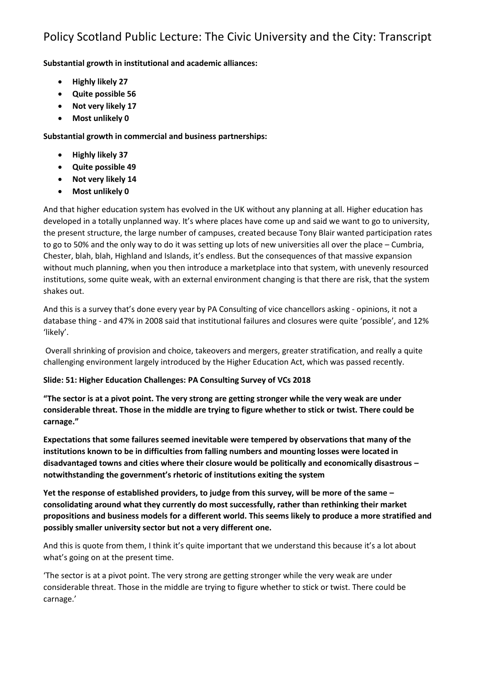**Substantial growth in institutional and academic alliances:**

- **Highly likely 27**
- **Quite possible 56**
- **Not very likely 17**
- **Most unlikely 0**

**Substantial growth in commercial and business partnerships:**

- **Highly likely 37**
- **Quite possible 49**
- **Not very likely 14**
- **Most unlikely 0**

And that higher education system has evolved in the UK without any planning at all. Higher education has developed in a totally unplanned way. It's where places have come up and said we want to go to university, the present structure, the large number of campuses, created because Tony Blair wanted participation rates to go to 50% and the only way to do it was setting up lots of new universities all over the place – Cumbria, Chester, blah, blah, Highland and Islands, it's endless. But the consequences of that massive expansion without much planning, when you then introduce a marketplace into that system, with unevenly resourced institutions, some quite weak, with an external environment changing is that there are risk, that the system shakes out.

And this is a survey that's done every year by PA Consulting of vice chancellors asking - opinions, it not a database thing - and 47% in 2008 said that institutional failures and closures were quite 'possible', and 12% 'likely'.

Overall shrinking of provision and choice, takeovers and mergers, greater stratification, and really a quite challenging environment largely introduced by the Higher Education Act, which was passed recently.

### **Slide: 51: Higher Education Challenges: PA Consulting Survey of VCs 2018**

**"The sector is at a pivot point. The very strong are getting stronger while the very weak are under considerable threat. Those in the middle are trying to figure whether to stick or twist. There could be carnage."**

**Expectations that some failures seemed inevitable were tempered by observations that many of the institutions known to be in difficulties from falling numbers and mounting losses were located in disadvantaged towns and cities where their closure would be politically and economically disastrous – notwithstanding the government's rhetoric of institutions exiting the system**

**Yet the response of established providers, to judge from this survey, will be more of the same – consolidating around what they currently do most successfully, rather than rethinking their market propositions and business models for a different world. This seems likely to produce a more stratified and possibly smaller university sector but not a very different one.**

And this is quote from them, I think it's quite important that we understand this because it's a lot about what's going on at the present time.

'The sector is at a pivot point. The very strong are getting stronger while the very weak are under considerable threat. Those in the middle are trying to figure whether to stick or twist. There could be carnage.'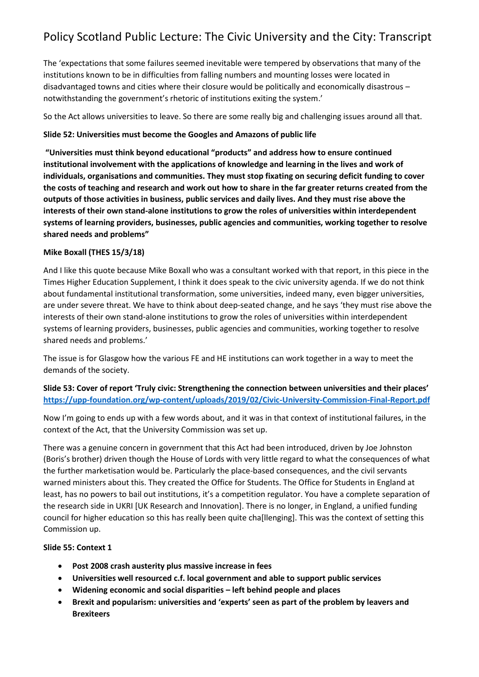The 'expectations that some failures seemed inevitable were tempered by observations that many of the institutions known to be in difficulties from falling numbers and mounting losses were located in disadvantaged towns and cities where their closure would be politically and economically disastrous – notwithstanding the government's rhetoric of institutions exiting the system.'

So the Act allows universities to leave. So there are some really big and challenging issues around all that.

### **Slide 52: Universities must become the Googles and Amazons of public life**

**"Universities must think beyond educational "products" and address how to ensure continued institutional involvement with the applications of knowledge and learning in the lives and work of individuals, organisations and communities. They must stop fixating on securing deficit funding to cover the costs of teaching and research and work out how to share in the far greater returns created from the outputs of those activities in business, public services and daily lives. And they must rise above the interests of their own stand-alone institutions to grow the roles of universities within interdependent systems of learning providers, businesses, public agencies and communities, working together to resolve shared needs and problems"**

## **Mike Boxall (THES 15/3/18)**

And I like this quote because Mike Boxall who was a consultant worked with that report, in this piece in the Times Higher Education Supplement, I think it does speak to the civic university agenda. If we do not think about fundamental institutional transformation, some universities, indeed many, even bigger universities, are under severe threat. We have to think about deep-seated change, and he says 'they must rise above the interests of their own stand-alone institutions to grow the roles of universities within interdependent systems of learning providers, businesses, public agencies and communities, working together to resolve shared needs and problems.'

The issue is for Glasgow how the various FE and HE institutions can work together in a way to meet the demands of the society.

**Slide 53: Cover of report 'Truly civic: Strengthening the connection between universities and their places' <https://upp-foundation.org/wp-content/uploads/2019/02/Civic-University-Commission-Final-Report.pdf>**

Now I'm going to ends up with a few words about, and it was in that context of institutional failures, in the context of the Act, that the University Commission was set up.

There was a genuine concern in government that this Act had been introduced, driven by Joe Johnston (Boris's brother) driven though the House of Lords with very little regard to what the consequences of what the further marketisation would be. Particularly the place-based consequences, and the civil servants warned ministers about this. They created the Office for Students. The Office for Students in England at least, has no powers to bail out institutions, it's a competition regulator. You have a complete separation of the research side in UKRI [UK Research and Innovation]. There is no longer, in England, a unified funding council for higher education so this has really been quite cha[llenging]. This was the context of setting this Commission up.

### **Slide 55: Context 1**

- **Post 2008 crash austerity plus massive increase in fees**
- **Universities well resourced c.f. local government and able to support public services**
- **Widening economic and social disparities – left behind people and places**
- **Brexit and popularism: universities and 'experts' seen as part of the problem by leavers and Brexiteers**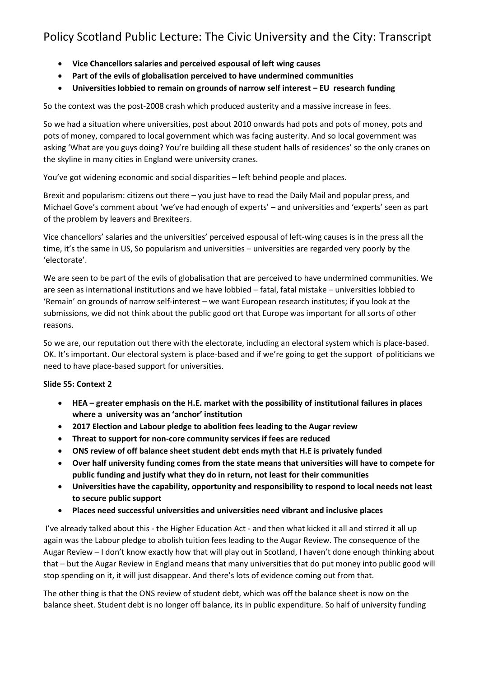- **Vice Chancellors salaries and perceived espousal of left wing causes**
- **Part of the evils of globalisation perceived to have undermined communities**
- **Universities lobbied to remain on grounds of narrow self interest – EU research funding**

So the context was the post-2008 crash which produced austerity and a massive increase in fees.

So we had a situation where universities, post about 2010 onwards had pots and pots of money, pots and pots of money, compared to local government which was facing austerity. And so local government was asking 'What are you guys doing? You're building all these student halls of residences' so the only cranes on the skyline in many cities in England were university cranes.

You've got widening economic and social disparities – left behind people and places.

Brexit and popularism: citizens out there – you just have to read the Daily Mail and popular press, and Michael Gove's comment about 'we've had enough of experts' – and universities and 'experts' seen as part of the problem by leavers and Brexiteers.

Vice chancellors' salaries and the universities' perceived espousal of left-wing causes is in the press all the time, it's the same in US, So popularism and universities – universities are regarded very poorly by the 'electorate'.

We are seen to be part of the evils of globalisation that are perceived to have undermined communities. We are seen as international institutions and we have lobbied – fatal, fatal mistake – universities lobbied to 'Remain' on grounds of narrow self-interest – we want European research institutes; if you look at the submissions, we did not think about the public good ort that Europe was important for all sorts of other reasons.

So we are, our reputation out there with the electorate, including an electoral system which is place-based. OK. It's important. Our electoral system is place-based and if we're going to get the support of politicians we need to have place-based support for universities.

### **Slide 55: Context 2**

- **HEA – greater emphasis on the H.E. market with the possibility of institutional failures in places where a university was an 'anchor' institution**
- **2017 Election and Labour pledge to abolition fees leading to the Augar review**
- **Threat to support for non-core community services if fees are reduced**
- **ONS review of off balance sheet student debt ends myth that H.E is privately funded**
- **Over half university funding comes from the state means that universities will have to compete for public funding and justify what they do in return, not least for their communities**
- **Universities have the capability, opportunity and responsibility to respond to local needs not least to secure public support**
- **Places need successful universities and universities need vibrant and inclusive places**

I've already talked about this - the Higher Education Act - and then what kicked it all and stirred it all up again was the Labour pledge to abolish tuition fees leading to the Augar Review. The consequence of the Augar Review – I don't know exactly how that will play out in Scotland, I haven't done enough thinking about that – but the Augar Review in England means that many universities that do put money into public good will stop spending on it, it will just disappear. And there's lots of evidence coming out from that.

The other thing is that the ONS review of student debt, which was off the balance sheet is now on the balance sheet. Student debt is no longer off balance, its in public expenditure. So half of university funding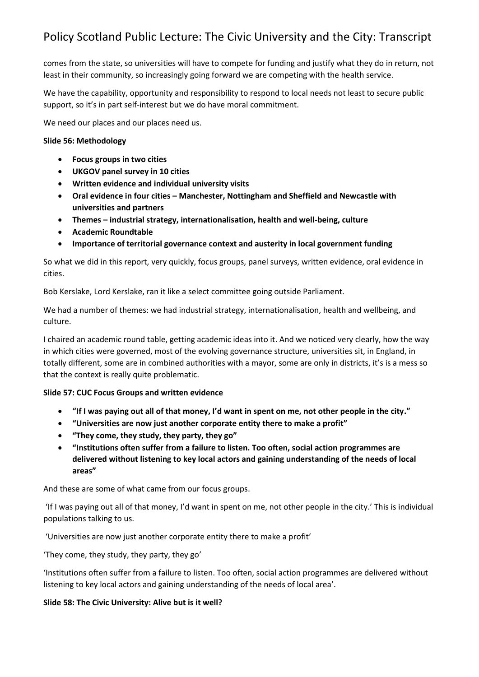comes from the state, so universities will have to compete for funding and justify what they do in return, not least in their community, so increasingly going forward we are competing with the health service.

We have the capability, opportunity and responsibility to respond to local needs not least to secure public support, so it's in part self-interest but we do have moral commitment.

We need our places and our places need us.

#### **Slide 56: Methodology**

- **Focus groups in two cities**
- **UKGOV panel survey in 10 cities**
- **Written evidence and individual university visits**
- **Oral evidence in four cities – Manchester, Nottingham and Sheffield and Newcastle with universities and partners**
- **Themes – industrial strategy, internationalisation, health and well-being, culture**
- **Academic Roundtable**
- **Importance of territorial governance context and austerity in local government funding**

So what we did in this report, very quickly, focus groups, panel surveys, written evidence, oral evidence in cities.

Bob Kerslake, Lord Kerslake, ran it like a select committee going outside Parliament.

We had a number of themes: we had industrial strategy, internationalisation, health and wellbeing, and culture.

I chaired an academic round table, getting academic ideas into it. And we noticed very clearly, how the way in which cities were governed, most of the evolving governance structure, universities sit, in England, in totally different, some are in combined authorities with a mayor, some are only in districts, it's is a mess so that the context is really quite problematic.

#### **Slide 57: CUC Focus Groups and written evidence**

- **"If I was paying out all of that money, I'd want in spent on me, not other people in the city."**
- **"Universities are now just another corporate entity there to make a profit"**
- **"They come, they study, they party, they go"**
- **"Institutions often suffer from a failure to listen. Too often, social action programmes are delivered without listening to key local actors and gaining understanding of the needs of local areas"**

And these are some of what came from our focus groups.

'If I was paying out all of that money, I'd want in spent on me, not other people in the city.' This is individual populations talking to us.

'Universities are now just another corporate entity there to make a profit'

'They come, they study, they party, they go'

'Institutions often suffer from a failure to listen. Too often, social action programmes are delivered without listening to key local actors and gaining understanding of the needs of local area'.

#### **Slide 58: The Civic University: Alive but is it well?**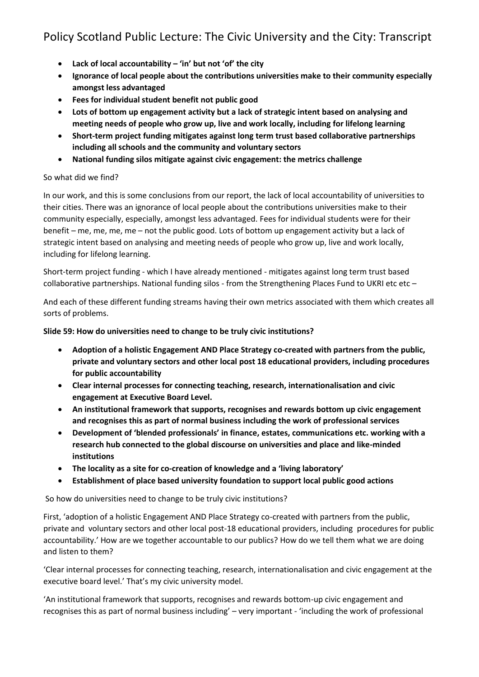- **Lack of local accountability – 'in' but not 'of' the city**
- **Ignorance of local people about the contributions universities make to their community especially amongst less advantaged**
- **Fees for individual student benefit not public good**
- **Lots of bottom up engagement activity but a lack of strategic intent based on analysing and meeting needs of people who grow up, live and work locally, including for lifelong learning**
- **Short-term project funding mitigates against long term trust based collaborative partnerships including all schools and the community and voluntary sectors**
- **National funding silos mitigate against civic engagement: the metrics challenge**

### So what did we find?

In our work, and this is some conclusions from our report, the lack of local accountability of universities to their cities. There was an ignorance of local people about the contributions universities make to their community especially, especially, amongst less advantaged. Fees for individual students were for their benefit – me, me, me, me – not the public good. Lots of bottom up engagement activity but a lack of strategic intent based on analysing and meeting needs of people who grow up, live and work locally, including for lifelong learning.

Short-term project funding - which I have already mentioned - mitigates against long term trust based collaborative partnerships. National funding silos - from the Strengthening Places Fund to UKRI etc etc –

And each of these different funding streams having their own metrics associated with them which creates all sorts of problems.

### **Slide 59: How do universities need to change to be truly civic institutions?**

- **Adoption of a holistic Engagement AND Place Strategy co-created with partners from the public, private and voluntary sectors and other local post 18 educational providers, including procedures for public accountability**
- **Clear internal processes for connecting teaching, research, internationalisation and civic engagement at Executive Board Level.**
- **An institutional framework that supports, recognises and rewards bottom up civic engagement and recognises this as part of normal business including the work of professional services**
- **Development of 'blended professionals' in finance, estates, communications etc. working with a research hub connected to the global discourse on universities and place and like-minded institutions**
- **The locality as a site for co-creation of knowledge and a 'living laboratory'**
- **Establishment of place based university foundation to support local public good actions**

So how do universities need to change to be truly civic institutions?

First, 'adoption of a holistic Engagement AND Place Strategy co-created with partners from the public, private and voluntary sectors and other local post-18 educational providers, including procedures for public accountability.' How are we together accountable to our publics? How do we tell them what we are doing and listen to them?

'Clear internal processes for connecting teaching, research, internationalisation and civic engagement at the executive board level.' That's my civic university model.

'An institutional framework that supports, recognises and rewards bottom-up civic engagement and recognises this as part of normal business including' – very important - 'including the work of professional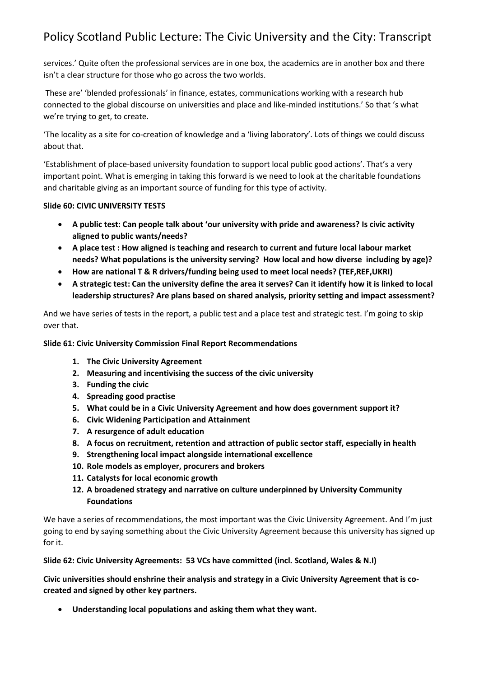services.' Quite often the professional services are in one box, the academics are in another box and there isn't a clear structure for those who go across the two worlds.

These are' 'blended professionals' in finance, estates, communications working with a research hub connected to the global discourse on universities and place and like-minded institutions.' So that 's what we're trying to get, to create.

'The locality as a site for co-creation of knowledge and a 'living laboratory'. Lots of things we could discuss about that.

'Establishment of place-based university foundation to support local public good actions'. That's a very important point. What is emerging in taking this forward is we need to look at the charitable foundations and charitable giving as an important source of funding for this type of activity.

### **Slide 60: CIVIC UNIVERSITY TESTS**

- **A public test: Can people talk about 'our university with pride and awareness? Is civic activity aligned to public wants/needs?**
- **A place test : How aligned is teaching and research to current and future local labour market needs? What populations is the university serving? How local and how diverse including by age)?**
- **How are national T & R drivers/funding being used to meet local needs? (TEF,REF,UKRI)**
- **A strategic test: Can the university define the area it serves? Can it identify how it is linked to local leadership structures? Are plans based on shared analysis, priority setting and impact assessment?**

And we have series of tests in the report, a public test and a place test and strategic test. I'm going to skip over that.

#### **Slide 61: Civic University Commission Final Report Recommendations**

- **1. The Civic University Agreement**
- **2. Measuring and incentivising the success of the civic university**
- **3. Funding the civic**
- **4. Spreading good practise**
- **5. What could be in a Civic University Agreement and how does government support it?**
- **6. Civic Widening Participation and Attainment**
- **7. A resurgence of adult education**
- **8. A focus on recruitment, retention and attraction of public sector staff, especially in health**
- **9. Strengthening local impact alongside international excellence**
- **10. Role models as employer, procurers and brokers**
- **11. Catalysts for local economic growth**
- **12. A broadened strategy and narrative on culture underpinned by University Community Foundations**

We have a series of recommendations, the most important was the Civic University Agreement. And I'm just going to end by saying something about the Civic University Agreement because this university has signed up for it.

### **Slide 62: Civic University Agreements: 53 VCs have committed (incl. Scotland, Wales & N.I)**

**Civic universities should enshrine their analysis and strategy in a Civic University Agreement that is cocreated and signed by other key partners.**

• **Understanding local populations and asking them what they want.**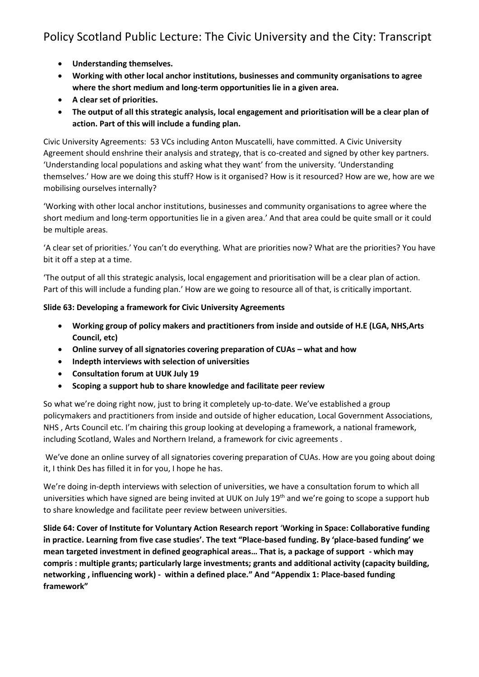- **Understanding themselves.**
- **Working with other local anchor institutions, businesses and community organisations to agree where the short medium and long-term opportunities lie in a given area.**
- **A clear set of priorities.**
- **The output of all this strategic analysis, local engagement and prioritisation will be a clear plan of action. Part of this will include a funding plan.**

Civic University Agreements: 53 VCs including Anton Muscatelli, have committed. A Civic University Agreement should enshrine their analysis and strategy, that is co-created and signed by other key partners. 'Understanding local populations and asking what they want' from the university. 'Understanding themselves.' How are we doing this stuff? How is it organised? How is it resourced? How are we, how are we mobilising ourselves internally?

'Working with other local anchor institutions, businesses and community organisations to agree where the short medium and long-term opportunities lie in a given area.' And that area could be quite small or it could be multiple areas.

'A clear set of priorities.' You can't do everything. What are priorities now? What are the priorities? You have bit it off a step at a time.

'The output of all this strategic analysis, local engagement and prioritisation will be a clear plan of action. Part of this will include a funding plan.' How are we going to resource all of that, is critically important.

### **Slide 63: Developing a framework for Civic University Agreements**

- **Working group of policy makers and practitioners from inside and outside of H.E (LGA, NHS,Arts Council, etc)**
- Online survey of all signatories covering preparation of CUAs what and how
- **Indepth interviews with selection of universities**
- **Consultation forum at UUK July 19**
- **Scoping a support hub to share knowledge and facilitate peer review**

So what we're doing right now, just to bring it completely up-to-date. We've established a group policymakers and practitioners from inside and outside of higher education, Local Government Associations, NHS , Arts Council etc. I'm chairing this group looking at developing a framework, a national framework, including Scotland, Wales and Northern Ireland, a framework for civic agreements .

We've done an online survey of all signatories covering preparation of CUAs. How are you going about doing it, I think Des has filled it in for you, I hope he has.

We're doing in-depth interviews with selection of universities, we have a consultation forum to which all universities which have signed are being invited at UUK on July 19<sup>th</sup> and we're going to scope a support hub to share knowledge and facilitate peer review between universities.

**Slide 64: Cover of Institute for Voluntary Action Research report** '**Working in Space: Collaborative funding in practice. Learning from five case studies'. The text "Place-based funding. By 'place-based funding' we mean targeted investment in defined geographical areas… That is, a package of support - which may compris : multiple grants; particularly large investments; grants and additional activity (capacity building, networking , influencing work) - within a defined place." And "Appendix 1: Place-based funding framework"**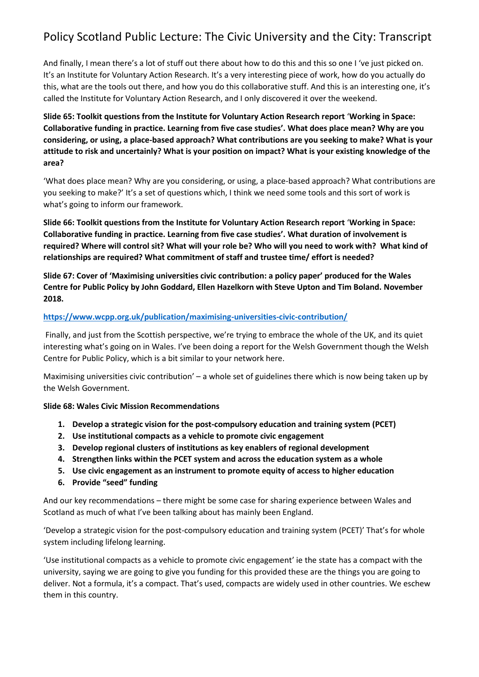And finally, I mean there's a lot of stuff out there about how to do this and this so one I 've just picked on. It's an Institute for Voluntary Action Research. It's a very interesting piece of work, how do you actually do this, what are the tools out there, and how you do this collaborative stuff. And this is an interesting one, it's called the Institute for Voluntary Action Research, and I only discovered it over the weekend.

## **Slide 65: Toolkit questions from the Institute for Voluntary Action Research report** '**Working in Space: Collaborative funding in practice. Learning from five case studies'. What does place mean? Why are you considering, or using, a place-based approach? What contributions are you seeking to make? What is your attitude to risk and uncertainly? What is your position on impact? What is your existing knowledge of the area?**

'What does place mean? Why are you considering, or using, a place-based approach? What contributions are you seeking to make?' It's a set of questions which, I think we need some tools and this sort of work is what's going to inform our framework.

**Slide 66: Toolkit questions from the Institute for Voluntary Action Research report** '**Working in Space: Collaborative funding in practice. Learning from five case studies'. What duration of involvement is required? Where will control sit? What will your role be? Who will you need to work with? What kind of relationships are required? What commitment of staff and trustee time/ effort is needed?**

**Slide 67: Cover of 'Maximising universities civic contribution: a policy paper' produced for the Wales Centre for Public Policy by John Goddard, Ellen Hazelkorn with Steve Upton and Tim Boland. November 2018.**

### **<https://www.wcpp.org.uk/publication/maximising-universities-civic-contribution/>**

Finally, and just from the Scottish perspective, we're trying to embrace the whole of the UK, and its quiet interesting what's going on in Wales. I've been doing a report for the Welsh Government though the Welsh Centre for Public Policy, which is a bit similar to your network here.

Maximising universities civic contribution' – a whole set of guidelines there which is now being taken up by the Welsh Government.

### **Slide 68: Wales Civic Mission Recommendations**

- **1. Develop a strategic vision for the post-compulsory education and training system (PCET)**
- **2. Use institutional compacts as a vehicle to promote civic engagement**
- **3. Develop regional clusters of institutions as key enablers of regional development**
- **4. Strengthen links within the PCET system and across the education system as a whole**
- **5. Use civic engagement as an instrument to promote equity of access to higher education**
- **6. Provide "seed" funding**

And our key recommendations – there might be some case for sharing experience between Wales and Scotland as much of what I've been talking about has mainly been England.

'Develop a strategic vision for the post-compulsory education and training system (PCET)' That's for whole system including lifelong learning.

'Use institutional compacts as a vehicle to promote civic engagement' ie the state has a compact with the university, saying we are going to give you funding for this provided these are the things you are going to deliver. Not a formula, it's a compact. That's used, compacts are widely used in other countries. We eschew them in this country.